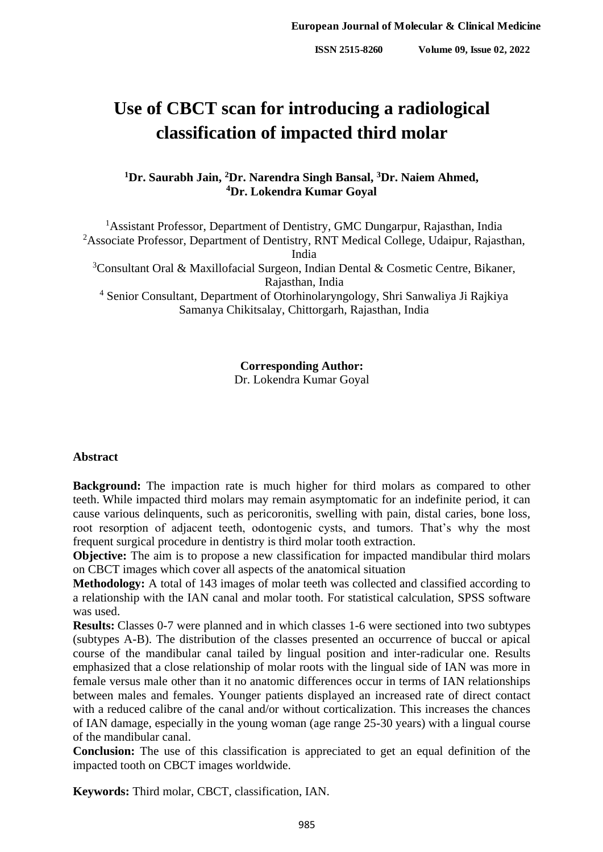# **Use of CBCT scan for introducing a radiological classification of impacted third molar**

## **<sup>1</sup>Dr. Saurabh Jain, <sup>2</sup>Dr. Narendra Singh Bansal, <sup>3</sup>Dr. Naiem Ahmed, <sup>4</sup>Dr. Lokendra Kumar Goyal**

<sup>1</sup> Assistant Professor, Department of Dentistry, GMC Dungarpur, Rajasthan, India <sup>2</sup>Associate Professor, Department of Dentistry, RNT Medical College, Udaipur, Rajasthan, India

<sup>3</sup>Consultant Oral & Maxillofacial Surgeon, Indian Dental & Cosmetic Centre, Bikaner, Rajasthan, India

<sup>4</sup> Senior Consultant, Department of Otorhinolaryngology, Shri Sanwaliya Ji Rajkiya Samanya Chikitsalay, Chittorgarh, Rajasthan, India

**Corresponding Author:**

Dr. Lokendra Kumar Goyal

#### **Abstract**

**Background:** The impaction rate is much higher for third molars as compared to other teeth. While impacted third molars may remain asymptomatic for an indefinite period, it can cause various delinquents, such as pericoronitis, swelling with pain, distal caries, bone loss, root resorption of adjacent teeth, odontogenic cysts, and tumors. That's why the most frequent surgical procedure in dentistry is third molar tooth extraction.

**Objective:** The aim is to propose a new classification for impacted mandibular third molars on CBCT images which cover all aspects of the anatomical situation

**Methodology:** A total of 143 images of molar teeth was collected and classified according to a relationship with the IAN canal and molar tooth. For statistical calculation, SPSS software was used.

**Results:** Classes 0-7 were planned and in which classes 1-6 were sectioned into two subtypes (subtypes A-B). The distribution of the classes presented an occurrence of buccal or apical course of the mandibular canal tailed by lingual position and inter-radicular one. Results emphasized that a close relationship of molar roots with the lingual side of IAN was more in female versus male other than it no anatomic differences occur in terms of IAN relationships between males and females. Younger patients displayed an increased rate of direct contact with a reduced calibre of the canal and/or without corticalization. This increases the chances of IAN damage, especially in the young woman (age range 25-30 years) with a lingual course of the mandibular canal.

**Conclusion:** The use of this classification is appreciated to get an equal definition of the impacted tooth on CBCT images worldwide.

**Keywords:** Third molar, CBCT, classification, IAN.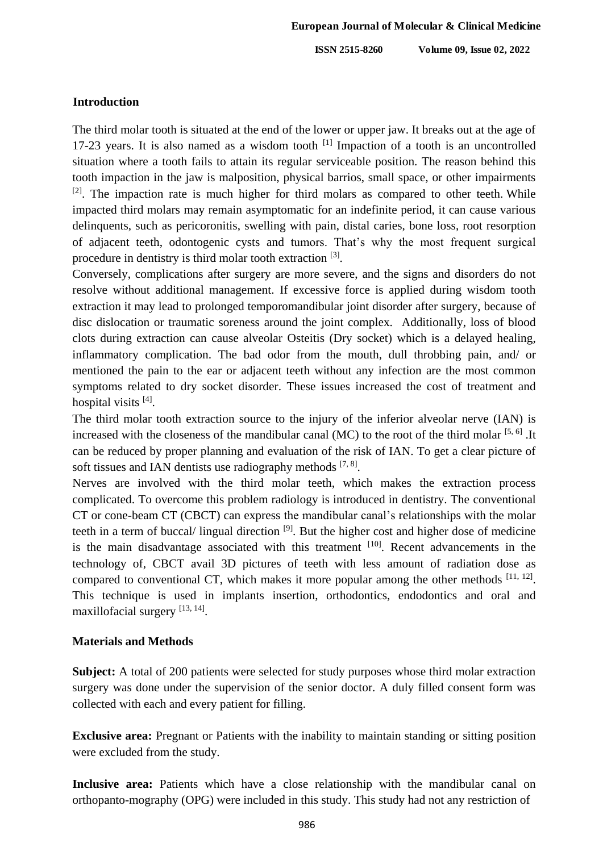**ISSN 2515-8260 Volume 09, Issue 02, 2022**

## **Introduction**

The third molar tooth is situated at the end of the lower or upper jaw. It breaks out at the age of 17-23 years. It is also named as a wisdom tooth  $[1]$  Impaction of a tooth is an uncontrolled situation where a tooth fails to attain its regular serviceable position. The reason behind this tooth impaction in the jaw is malposition, physical barrios, small space, or other impairments  $[2]$ . The impaction rate is much higher for third molars as compared to other teeth. While impacted third molars may remain asymptomatic for an indefinite period, it can cause various delinquents, such as pericoronitis, swelling with pain, distal caries, bone loss, root resorption of adjacent teeth, odontogenic cysts and tumors. That's why the most frequent surgical procedure in dentistry is third molar tooth extraction [3].

Conversely, complications after surgery are more severe, and the signs and disorders do not resolve without additional management. If excessive force is applied during wisdom tooth extraction it may lead to prolonged temporomandibular joint disorder after surgery, because of disc dislocation or traumatic soreness around the joint complex. Additionally, loss of blood clots during extraction can cause alveolar Osteitis (Dry socket) which is a delayed healing, inflammatory complication. The bad odor from the mouth, dull throbbing pain, and/ or mentioned the pain to the ear or adjacent teeth without any infection are the most common symptoms related to dry socket disorder. These issues increased the cost of treatment and hospital visits [4].

The third molar tooth extraction source to the injury of the inferior alveolar nerve (IAN) is increased with the closeness of the mandibular canal (MC) to the root of the third molar  $[5, 6]$ . It can be reduced by proper planning and evaluation of the risk of IAN. To get a clear picture of soft tissues and IAN dentists use radiography methods  $[7, 8]$ .

Nerves are involved with the third molar teeth, which makes the extraction process complicated. To overcome this problem radiology is introduced in dentistry. The conventional CT or cone-beam CT (CBCT) can express the mandibular canal's relationships with the molar teeth in a term of buccal/ lingual direction <sup>[9]</sup>. But the higher cost and higher dose of medicine is the main disadvantage associated with this treatment  $[10]$ . Recent advancements in the technology of, CBCT avail 3D pictures of teeth with less amount of radiation dose as compared to conventional CT, which makes it more popular among the other methods  $[11, 12]$ . This technique is used in implants insertion, orthodontics, endodontics and oral and maxillofacial surgery [13, 14].

## **Materials and Methods**

**Subject:** A total of 200 patients were selected for study purposes whose third molar extraction surgery was done under the supervision of the senior doctor. A duly filled consent form was collected with each and every patient for filling.

**Exclusive area:** Pregnant or Patients with the inability to maintain standing or sitting position were excluded from the study.

**Inclusive area:** Patients which have a close relationship with the mandibular canal on orthopanto-mography (OPG) were included in this study. This study had not any restriction of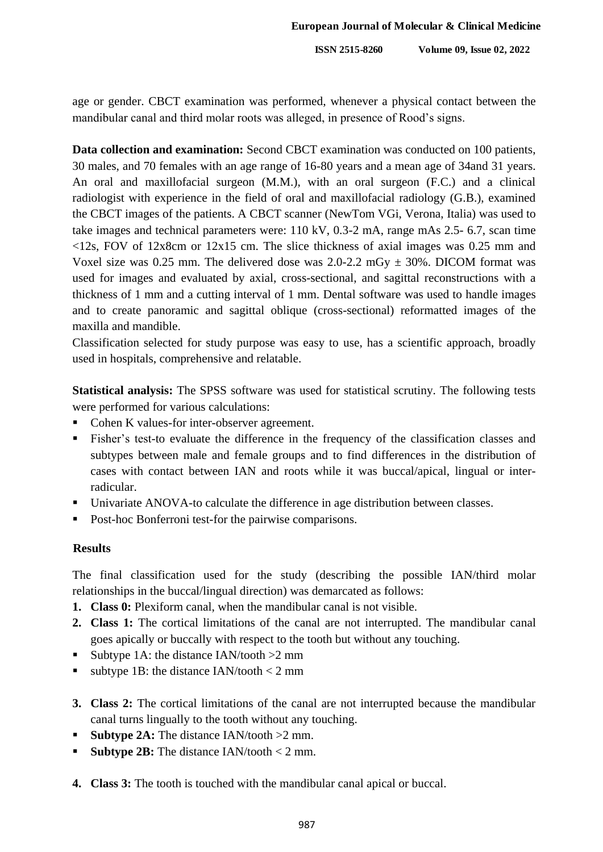**ISSN 2515-8260 Volume 09, Issue 02, 2022**

age or gender. CBCT examination was performed, whenever a physical contact between the mandibular canal and third molar roots was alleged, in presence of Rood's signs.

**Data collection and examination:** Second CBCT examination was conducted on 100 patients, 30 males, and 70 females with an age range of 16-80 years and a mean age of 34and 31 years. An oral and maxillofacial surgeon (M.M.), with an oral surgeon (F.C.) and a clinical radiologist with experience in the field of oral and maxillofacial radiology (G.B.), examined the CBCT images of the patients. A CBCT scanner (NewTom VGi, Verona, Italia) was used to take images and technical parameters were: 110 kV, 0.3-2 mA, range mAs 2.5- 6.7, scan time  $\langle 12s, FOV \text{ of } 12x8 \text{ cm or } 12x15 \text{ cm}$ . The slice thickness of axial images was 0.25 mm and Voxel size was 0.25 mm. The delivered dose was  $2.0$ -2.2 mGy  $\pm$  30%. DICOM format was used for images and evaluated by axial, cross-sectional, and sagittal reconstructions with a thickness of 1 mm and a cutting interval of 1 mm. Dental software was used to handle images and to create panoramic and sagittal oblique (cross-sectional) reformatted images of the maxilla and mandible.

Classification selected for study purpose was easy to use, has a scientific approach, broadly used in hospitals, comprehensive and relatable.

**Statistical analysis:** The SPSS software was used for statistical scrutiny. The following tests were performed for various calculations:

- Cohen K values-for inter-observer agreement.
- Fisher's test-to evaluate the difference in the frequency of the classification classes and subtypes between male and female groups and to find differences in the distribution of cases with contact between IAN and roots while it was buccal/apical, lingual or interradicular.
- Univariate ANOVA-to calculate the difference in age distribution between classes.
- Post-hoc Bonferroni test-for the pairwise comparisons.

## **Results**

The final classification used for the study (describing the possible IAN/third molar relationships in the buccal/lingual direction) was demarcated as follows:

- **1. Class 0:** Plexiform canal, when the mandibular canal is not visible.
- **2. Class 1:** The cortical limitations of the canal are not interrupted. The mandibular canal goes apically or buccally with respect to the tooth but without any touching.
- Subtype 1A: the distance  $IAN/tooth > 2$  mm
- subtype 1B: the distance IAN/tooth  $<$  2 mm
- **3. Class 2:** The cortical limitations of the canal are not interrupted because the mandibular canal turns lingually to the tooth without any touching.
- **Subtype 2A:** The distance IAN/tooth >2 mm.
- **Subtype 2B:** The distance IAN/tooth < 2 mm.
- **4. Class 3:** The tooth is touched with the mandibular canal apical or buccal.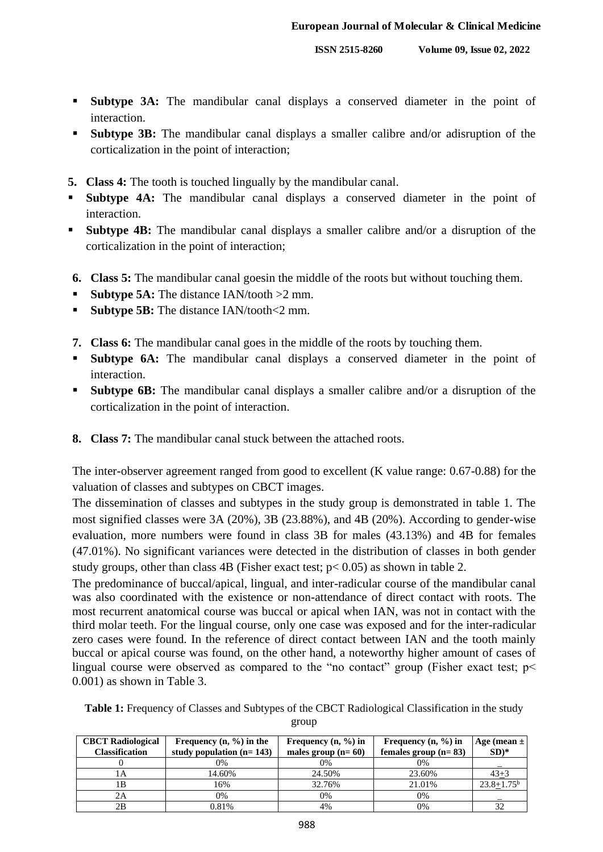- **Subtype 3A:** The mandibular canal displays a conserved diameter in the point of interaction.
- **Subtype 3B:** The mandibular canal displays a smaller calibre and/or adisruption of the corticalization in the point of interaction;
- **5. Class 4:** The tooth is touched lingually by the mandibular canal.
- **Subtype 4A:** The mandibular canal displays a conserved diameter in the point of interaction.
- **Subtype 4B:** The mandibular canal displays a smaller calibre and/or a disruption of the corticalization in the point of interaction;
- **6. Class 5:** The mandibular canal goesin the middle of the roots but without touching them.
- **Subtype 5A:** The distance IAN/tooth  $>2$  mm.
- **Subtype 5B:** The distance IAN/tooth <2 mm.
- **7. Class 6:** The mandibular canal goes in the middle of the roots by touching them.
- **Subtype 6A:** The mandibular canal displays a conserved diameter in the point of interaction.
- **Subtype 6B:** The mandibular canal displays a smaller calibre and/or a disruption of the corticalization in the point of interaction.
- **8. Class 7:** The mandibular canal stuck between the attached roots.

The inter-observer agreement ranged from good to excellent (K value range: 0.67-0.88) for the valuation of classes and subtypes on CBCT images.

The dissemination of classes and subtypes in the study group is demonstrated in table 1. The most signified classes were 3A (20%), 3B (23.88%), and 4B (20%). According to gender-wise evaluation, more numbers were found in class 3B for males (43.13%) and 4B for females (47.01%). No significant variances were detected in the distribution of classes in both gender study groups, other than class 4B (Fisher exact test; p< 0.05) as shown in table 2.

The predominance of buccal/apical, lingual, and inter-radicular course of the mandibular canal was also coordinated with the existence or non-attendance of direct contact with roots. The most recurrent anatomical course was buccal or apical when IAN, was not in contact with the third molar teeth. For the lingual course, only one case was exposed and for the inter-radicular zero cases were found. In the reference of direct contact between IAN and the tooth mainly buccal or apical course was found, on the other hand, a noteworthy higher amount of cases of lingual course were observed as compared to the "no contact" group (Fisher exact test;  $p$  < 0.001) as shown in Table 3.

**Table 1:** Frequency of Classes and Subtypes of the CBCT Radiological Classification in the study group

| <b>CBCT</b> Radiological | Frequency $(n, \frac{9}{6})$ in the | Frequency $(n, %)$ in | Frequency $(n, \frac{9}{6})$ in | Age (mean $\pm$ ) |
|--------------------------|-------------------------------------|-----------------------|---------------------------------|-------------------|
| <b>Classification</b>    | study population $(n=143)$          | males group $(n=60)$  | females group $(n=83)$          | $SD)*$            |
|                          | 0%                                  | 0%                    | $0\%$                           |                   |
| ΙA                       | 14.60%                              | 24.50%                | 23.60%                          | $43 + 3$          |
| 1Β                       | 16%                                 | 32.76%                | 21.01%                          | $23.8 + 1.75^b$   |
| 2Α                       | 0%                                  | 0%                    | $0\%$                           |                   |
| 2Β                       | 0.81%                               | 4%                    | $0\%$                           | 32                |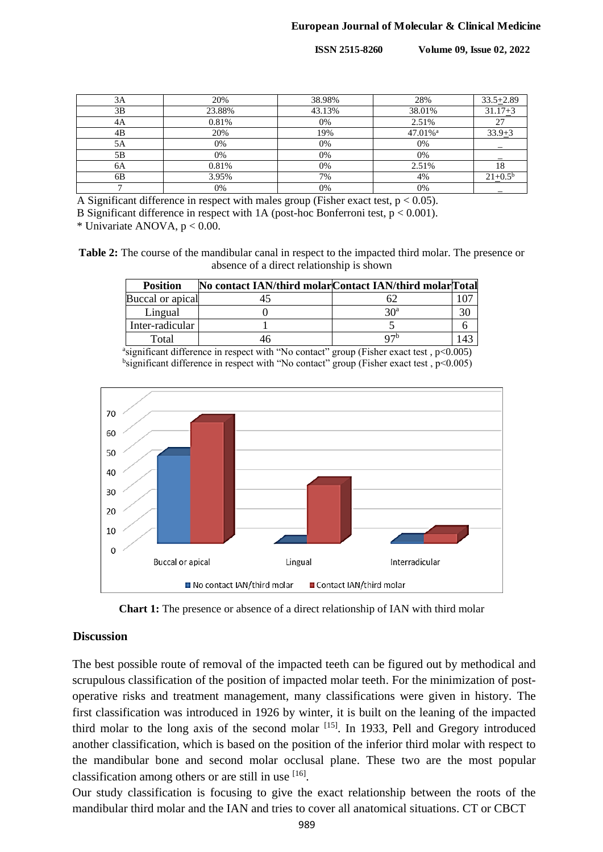**ISSN 2515-8260 Volume 09, Issue 02, 2022**

| 3A | 20%    | 38.98% | 28%                 | $33.5 + 2.89$ |
|----|--------|--------|---------------------|---------------|
| 3B | 23.88% | 43.13% | 38.01%              | $31.17 + 3$   |
| 4A | 0.81%  | 0%     | 2.51%               | 27            |
| 4B | 20%    | 19%    | 47.01% <sup>a</sup> | $33.9 + 3$    |
| 5A | 0%     | 0%     | 0%                  |               |
| 5B | 0%     | 0%     | 0%                  |               |
| 6A | 0.81%  | 0%     | 2.51%               | 18            |
| 6B | 3.95%  | 7%     | 4%                  | $21+0.5^b$    |
|    | 0%     | 0%     | 0%                  |               |

A Significant difference in respect with males group (Fisher exact test,  $p < 0.05$ ).

B Significant difference in respect with 1A (post-hoc Bonferroni test, p < 0.001).

\* Univariate ANOVA, p < 0.00.

**Table 2:** The course of the mandibular canal in respect to the impacted third molar. The presence or absence of a direct relationship is shown

| <b>Position</b>  | No contact IAN/third molar Contact IAN/third molar Total |                 |  |
|------------------|----------------------------------------------------------|-----------------|--|
| Buccal or apical |                                                          |                 |  |
| Lingual          |                                                          | 30 <sup>a</sup> |  |
| Inter-radicular  |                                                          |                 |  |
| Total            |                                                          | 07              |  |

<sup>a</sup>significant difference in respect with "No contact" group (Fisher exact test, p<0.005) <sup>b</sup>significant difference in respect with "No contact" group (Fisher exact test, p<0.005)





#### **Discussion**

The best possible route of removal of the impacted teeth can be figured out by methodical and scrupulous classification of the position of impacted molar teeth. For the minimization of postoperative risks and treatment management, many classifications were given in history. The first classification was introduced in 1926 by winter, it is built on the leaning of the impacted third molar to the long axis of the second molar  $[15]$ . In 1933, Pell and Gregory introduced another classification, which is based on the position of the inferior third molar with respect to the mandibular bone and second molar occlusal plane. These two are the most popular classification among others or are still in use  $[16]$ .

Our study classification is focusing to give the exact relationship between the roots of the mandibular third molar and the IAN and tries to cover all anatomical situations. CT or CBCT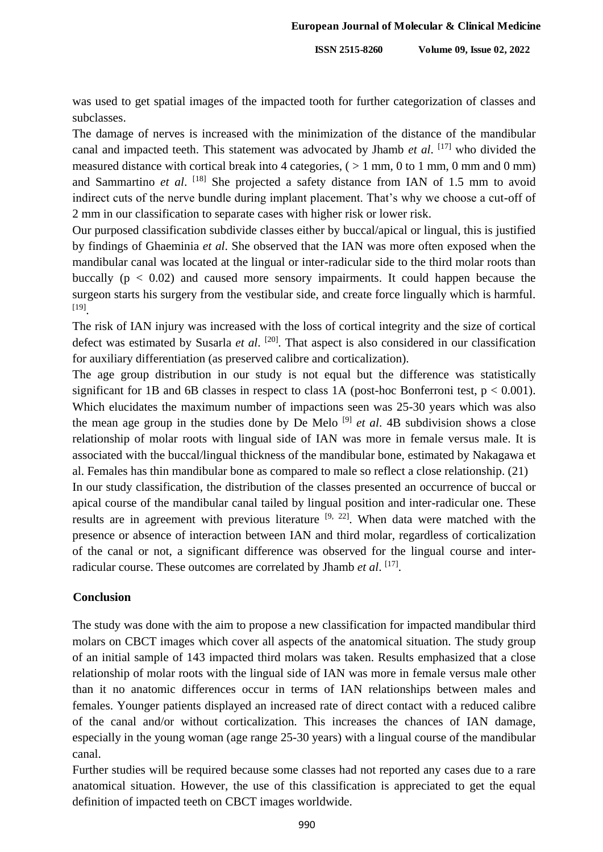was used to get spatial images of the impacted tooth for further categorization of classes and subclasses.

The damage of nerves is increased with the minimization of the distance of the mandibular canal and impacted teeth. This statement was advocated by Jhamb *et al*. [17] who divided the measured distance with cortical break into 4 categories,  $($  > 1 mm, 0 to 1 mm, 0 mm and 0 mm) and Sammartino et al. <sup>[18]</sup> She projected a safety distance from IAN of 1.5 mm to avoid indirect cuts of the nerve bundle during implant placement. That's why we choose a cut-off of 2 mm in our classification to separate cases with higher risk or lower risk.

Our purposed classification subdivide classes either by buccal/apical or lingual, this is justified by findings of Ghaeminia *et al*. She observed that the IAN was more often exposed when the mandibular canal was located at the lingual or inter-radicular side to the third molar roots than buccally  $(p < 0.02)$  and caused more sensory impairments. It could happen because the surgeon starts his surgery from the vestibular side, and create force lingually which is harmful. [19] .

The risk of IAN injury was increased with the loss of cortical integrity and the size of cortical defect was estimated by Susarla *et al*. [20] . That aspect is also considered in our classification for auxiliary differentiation (as preserved calibre and corticalization).

The age group distribution in our study is not equal but the difference was statistically significant for 1B and 6B classes in respect to class 1A (post-hoc Bonferroni test,  $p < 0.001$ ). Which elucidates the maximum number of impactions seen was 25-30 years which was also the mean age group in the studies done by De Melo [9] *et al*. 4B subdivision shows a close relationship of molar roots with lingual side of IAN was more in female versus male. It is associated with the buccal/lingual thickness of the mandibular bone, estimated by Nakagawa et al. Females has thin mandibular bone as compared to male so reflect a close relationship. (21)

In our study classification, the distribution of the classes presented an occurrence of buccal or apical course of the mandibular canal tailed by lingual position and inter-radicular one. These results are in agreement with previous literature  $[9, 22]$ . When data were matched with the presence or absence of interaction between IAN and third molar, regardless of corticalization of the canal or not, a significant difference was observed for the lingual course and interradicular course. These outcomes are correlated by Jhamb *et al.* [17].

#### **Conclusion**

The study was done with the aim to propose a new classification for impacted mandibular third molars on CBCT images which cover all aspects of the anatomical situation. The study group of an initial sample of 143 impacted third molars was taken. Results emphasized that a close relationship of molar roots with the lingual side of IAN was more in female versus male other than it no anatomic differences occur in terms of IAN relationships between males and females. Younger patients displayed an increased rate of direct contact with a reduced calibre of the canal and/or without corticalization. This increases the chances of IAN damage, especially in the young woman (age range 25-30 years) with a lingual course of the mandibular canal.

Further studies will be required because some classes had not reported any cases due to a rare anatomical situation. However, the use of this classification is appreciated to get the equal definition of impacted teeth on CBCT images worldwide.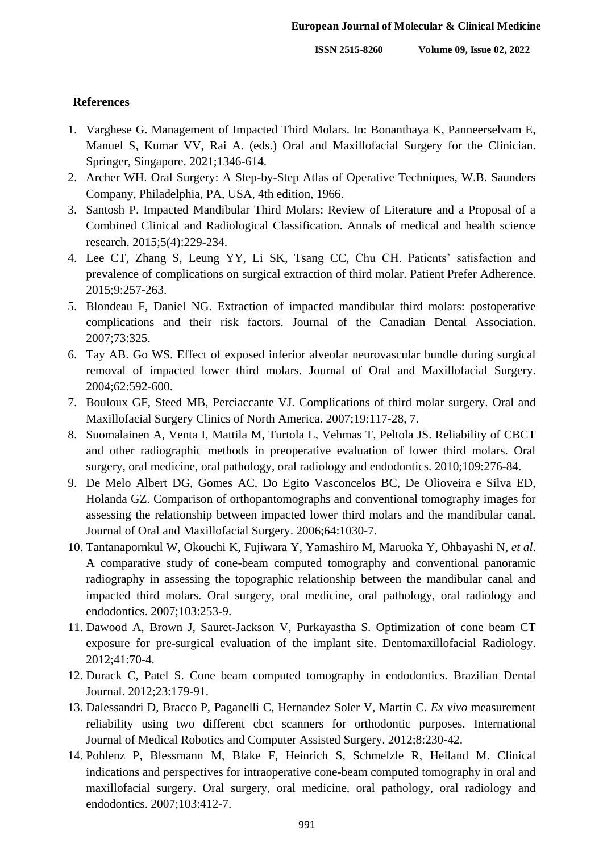#### **References**

- 1. Varghese G. Management of Impacted Third Molars. In: Bonanthaya K, Panneerselvam E, Manuel S, Kumar VV, Rai A. (eds.) Oral and Maxillofacial Surgery for the Clinician. Springer, Singapore. 2021;1346-614.
- 2. Archer WH. Oral Surgery: A Step-by-Step Atlas of Operative Techniques, W.B. Saunders Company, Philadelphia, PA, USA, 4th edition, 1966.
- 3. Santosh P. Impacted Mandibular Third Molars: Review of Literature and a Proposal of a Combined Clinical and Radiological Classification. Annals of medical and health science research. 2015;5(4):229-234.
- 4. Lee CT, Zhang S, Leung YY, Li SK, Tsang CC, Chu CH. Patients' satisfaction and prevalence of complications on surgical extraction of third molar. Patient Prefer Adherence. 2015;9:257-263.
- 5. Blondeau F, Daniel NG. Extraction of impacted mandibular third molars: postoperative complications and their risk factors. Journal of the Canadian Dental Association. 2007;73:325.
- 6. Tay AB. Go WS. Effect of exposed inferior alveolar neurovascular bundle during surgical removal of impacted lower third molars. Journal of Oral and Maxillofacial Surgery. 2004;62:592-600.
- 7. Bouloux GF, Steed MB, Perciaccante VJ. Complications of third molar surgery. Oral and Maxillofacial Surgery Clinics of North America. 2007;19:117-28, 7.
- 8. Suomalainen A, Venta I, Mattila M, Turtola L, Vehmas T, Peltola JS. Reliability of CBCT and other radiographic methods in preoperative evaluation of lower third molars. Oral surgery, oral medicine, oral pathology, oral radiology and endodontics. 2010;109:276-84.
- 9. De Melo Albert DG, Gomes AC, Do Egito Vasconcelos BC, De Olioveira e Silva ED, Holanda GZ. Comparison of orthopantomographs and conventional tomography images for assessing the relationship between impacted lower third molars and the mandibular canal. Journal of Oral and Maxillofacial Surgery. 2006;64:1030-7.
- 10. Tantanapornkul W, Okouchi K, Fujiwara Y, Yamashiro M, Maruoka Y, Ohbayashi N, *et al*. A comparative study of cone-beam computed tomography and conventional panoramic radiography in assessing the topographic relationship between the mandibular canal and impacted third molars. Oral surgery, oral medicine, oral pathology, oral radiology and endodontics. 2007;103:253-9.
- 11. Dawood A, Brown J, Sauret-Jackson V, Purkayastha S. Optimization of cone beam CT exposure for pre-surgical evaluation of the implant site. Dentomaxillofacial Radiology. 2012;41:70-4.
- 12. Durack C, Patel S. Cone beam computed tomography in endodontics. Brazilian Dental Journal. 2012;23:179-91.
- 13. Dalessandri D, Bracco P, Paganelli C, Hernandez Soler V, Martin C. *Ex vivo* measurement reliability using two different cbct scanners for orthodontic purposes. International Journal of Medical Robotics and Computer Assisted Surgery. 2012;8:230-42.
- 14. Pohlenz P, Blessmann M, Blake F, Heinrich S, Schmelzle R, Heiland M. Clinical indications and perspectives for intraoperative cone-beam computed tomography in oral and maxillofacial surgery. Oral surgery, oral medicine, oral pathology, oral radiology and endodontics. 2007;103:412-7.